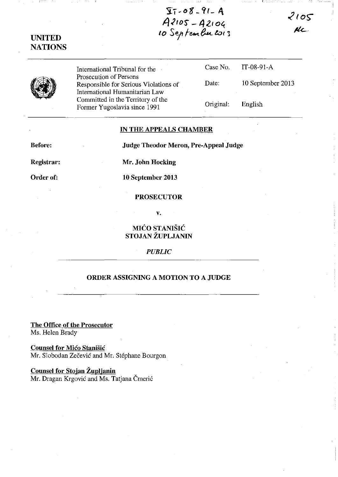$\frac{\sqrt{17}-08-91-96}{97}-\frac{99}{99}-\frac{99}{99}-\frac{99}{99}-\frac{99}{99}-\frac{99}{99}-\frac{99}{99}-\frac{99}{99}-\frac{99}{99}-\frac{99}{99}-\frac{99}{99}-\frac{99}{99}-\frac{99}{99}-\frac{19}{99}-\frac{19}{99}-\frac{19}{99}-\frac{19}{99}-\frac{19}{99}-\frac{19}{99}-\frac{19}{99}-\frac{19}{99}-\frac{19}{99}-\frac{19}{99}-\frac$ 

**UNITED NATIONS** 

International Tribunal for the Prosecution of Persons Responsible for Serious Violations of International Humanitarian Law Committed in the Territory of the Former Yugoslavia since 1991

|                     | Case No. $IT-08-91-A$ |
|---------------------|-----------------------|
| Date:               | 10 September 2013     |
| $O$ riginal $\cdot$ | Englich               |

 $2105$ 

KL

## **IN THE APPEALS CHAMBER**

Before:

**Judge Theodor Meron, Pre-Appeal Judge** 

Registrar:

Mr. John Hocking

Order of:

10 September 2013

## **PROSECUTOR**

 $\mathbf{v}$ .

## MIĆO STANIŠIĆ STOJAN ŽUPLJANIN

**PUBLIC** 

## ORDER ASSIGNING A MOTION TO A JUDGE

The Office of the Prosecutor Ms. Helen Brady

**Counsel for Mico Stanišic** Mr. Slobodan Zečević and Mr. Stéphane Bourgon

Counsel for Stojan Župljanin Mr. Dragan Krgović and Ms. Tatjana Čmerić